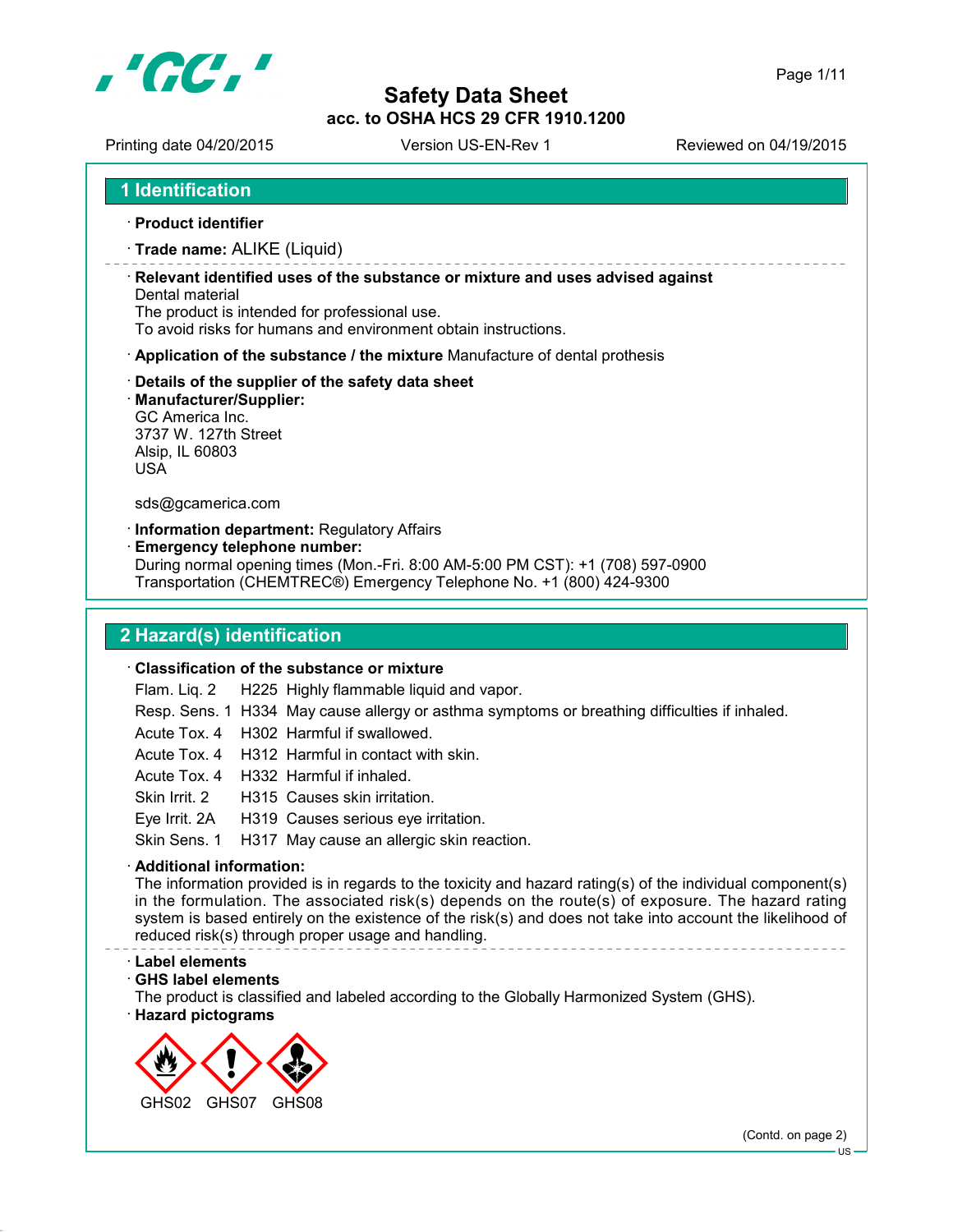

Printing date 04/20/2015 Version US-EN-Rev 1 Reviewed on 04/19/2015

### **1 Identification**

**Product identifier**

#### **Trade name:** ALIKE (Liquid)

 **Relevant identified uses of the substance or mixture and uses advised against** Dental material

The product is intended for professional use.

To avoid risks for humans and environment obtain instructions.

**Application of the substance / the mixture** Manufacture of dental prothesis

#### **Details of the supplier of the safety data sheet**

**Manufacturer/Supplier:**

GC America Inc. 3737 W. 127th Street Alsip, IL 60803 USA

sds@gcamerica.com

#### **Information department:** Regulatory Affairs

**Emergency telephone number:**

During normal opening times (Mon.-Fri. 8:00 AM-5:00 PM CST): +1 (708) 597-0900 Transportation (CHEMTREC®) Emergency Telephone No. +1 (800) 424-9300

# **2 Hazard(s) identification**

#### **Classification of the substance or mixture**

Flam. Liq. 2 H225 Highly flammable liquid and vapor.

- Resp. Sens. 1 H334 May cause allergy or asthma symptoms or breathing difficulties if inhaled.
- Acute Tox. 4 H302 Harmful if swallowed.
- Acute Tox. 4 H312 Harmful in contact with skin.
- Acute Tox. 4 H332 Harmful if inhaled.
- Skin Irrit. 2 H315 Causes skin irritation.
- Eye Irrit. 2A H319 Causes serious eye irritation.

Skin Sens. 1 H317 May cause an allergic skin reaction.

#### **Additional information:**

The information provided is in regards to the toxicity and hazard rating(s) of the individual component(s) in the formulation. The associated risk(s) depends on the route(s) of exposure. The hazard rating system is based entirely on the existence of the risk(s) and does not take into account the likelihood of reduced risk(s) through proper usage and handling.

#### **Label elements**

**GHS label elements**

The product is classified and labeled according to the Globally Harmonized System (GHS).

**Hazard pictograms**



(Contd. on page 2)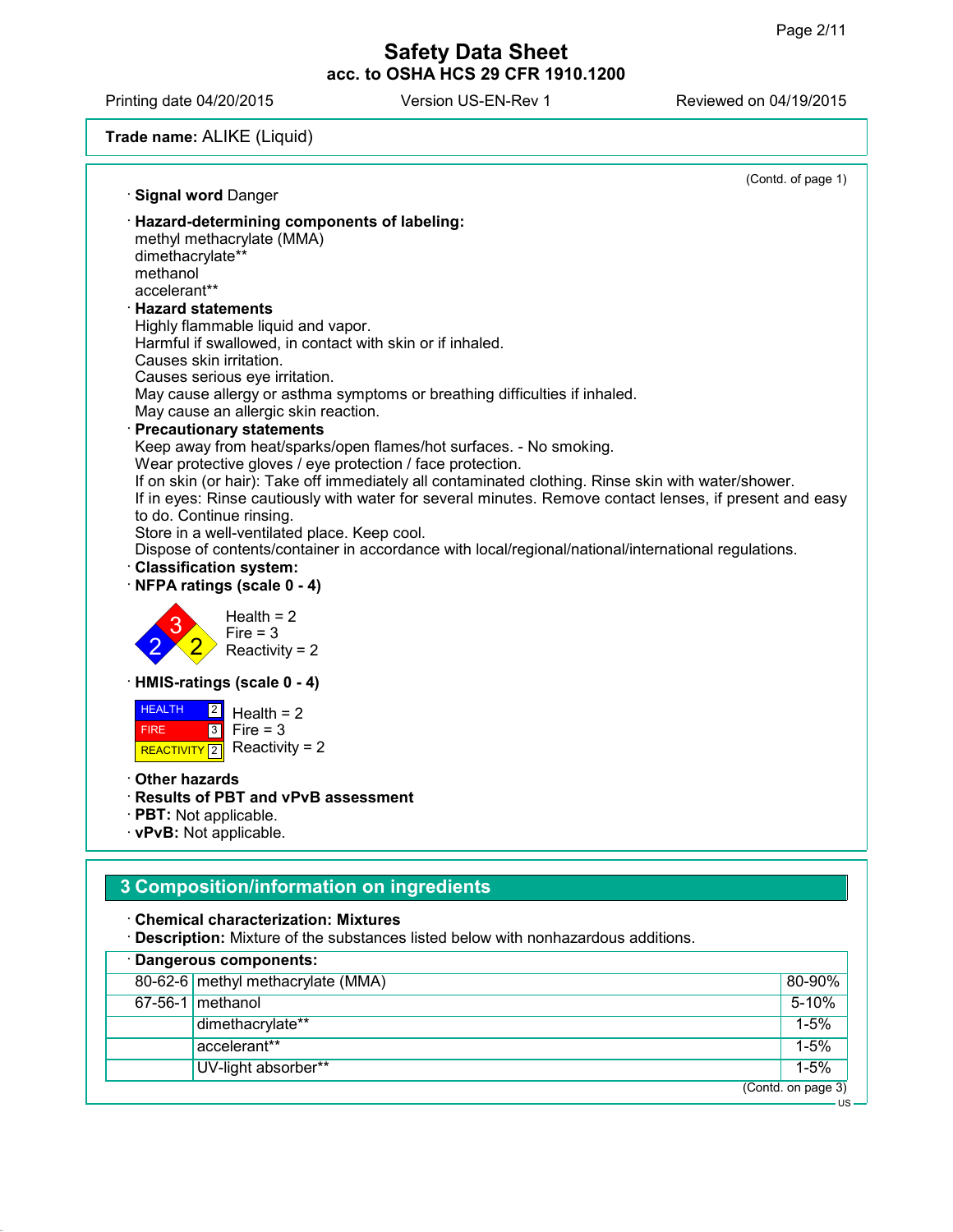Printing date 04/20/2015 Version US-EN-Rev 1 Reviewed on 04/19/2015

# **Trade name:** ALIKE (Liquid)

|                                                                                                                                                                                                                                                                                                                                                                                                                                                                             | (Contd. of page 1) |
|-----------------------------------------------------------------------------------------------------------------------------------------------------------------------------------------------------------------------------------------------------------------------------------------------------------------------------------------------------------------------------------------------------------------------------------------------------------------------------|--------------------|
| · Signal word Danger<br>· Hazard-determining components of labeling:<br>methyl methacrylate (MMA)<br>dimethacrylate**<br>methanol<br>accelerant**<br><b>Hazard statements</b>                                                                                                                                                                                                                                                                                               |                    |
| Highly flammable liquid and vapor.<br>Harmful if swallowed, in contact with skin or if inhaled.<br>Causes skin irritation.<br>Causes serious eye irritation.<br>May cause allergy or asthma symptoms or breathing difficulties if inhaled.<br>May cause an allergic skin reaction.<br>· Precautionary statements<br>Keep away from heat/sparks/open flames/hot surfaces. - No smoking.<br>Wear protective gloves / eye protection / face protection.                        |                    |
| If on skin (or hair): Take off immediately all contaminated clothing. Rinse skin with water/shower.<br>If in eyes: Rinse cautiously with water for several minutes. Remove contact lenses, if present and easy<br>to do. Continue rinsing.<br>Store in a well-ventilated place. Keep cool.<br>Dispose of contents/container in accordance with local/regional/national/international regulations.<br>· Classification system:<br>NFPA ratings (scale 0 - 4)<br>Health $= 2$ |                    |
| $Fire = 3$<br>Reactivity = $2$                                                                                                                                                                                                                                                                                                                                                                                                                                              |                    |
| HMIS-ratings (scale 0 - 4)<br><b>HEALTH</b><br>$\boxed{2}$<br>Health $= 2$<br>$3$ Fire = 3<br><b>FIRE</b><br>Reactivity = $2$<br>REACTIVITY <sup>[2]</sup>                                                                                                                                                                                                                                                                                                                  |                    |
| ∙ Other hazards<br><b>Results of PBT and vPvB assessment</b><br>· PBT: Not applicable.<br>· vPvB: Not applicable.                                                                                                                                                                                                                                                                                                                                                           |                    |
| 3 Composition/information on ingredients                                                                                                                                                                                                                                                                                                                                                                                                                                    |                    |
| <b>Chemical characterization: Mixtures</b><br>· Description: Mixture of the substances listed below with nonhazardous additions.                                                                                                                                                                                                                                                                                                                                            |                    |
| · Dangerous components:                                                                                                                                                                                                                                                                                                                                                                                                                                                     | 80-90%             |
| 80-62-6 methyl methacrylate (MMA)                                                                                                                                                                                                                                                                                                                                                                                                                                           |                    |

| 80-62-6 methyl methacrylate (MMA) | 80-90%             |
|-----------------------------------|--------------------|
| $67-56-1$ methanol                | 5-10%              |
| dimethacrylate**                  | $1 - 5%$           |
| accelerant**                      | $1 - 5%$           |
| UV-light absorber**               | $1 - 5%$           |
|                                   | (Contd. on page 3) |
|                                   | · US·              |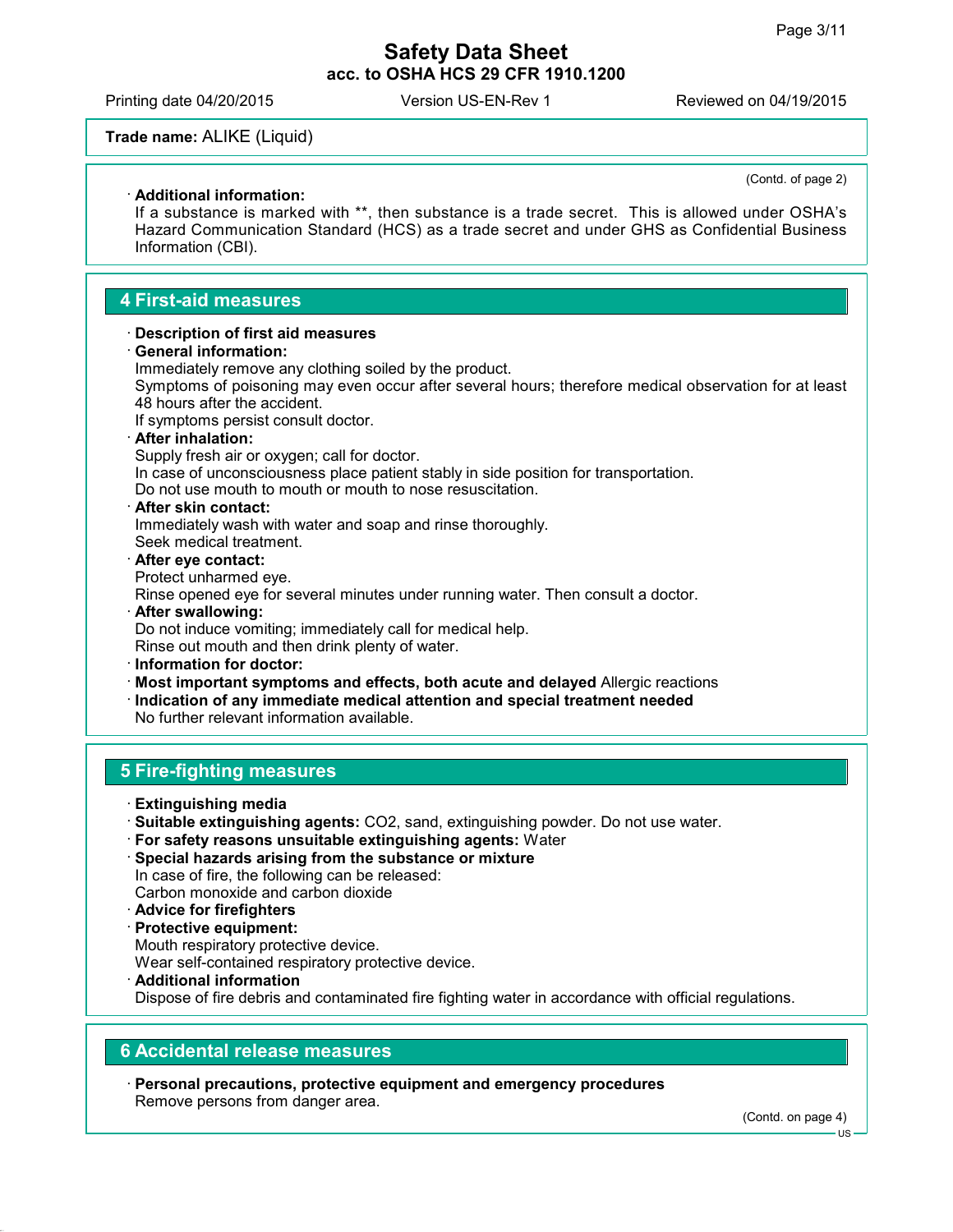Printing date 04/20/2015 Version US-EN-Rev 1 Reviewed on 04/19/2015

#### **Trade name:** ALIKE (Liquid)

#### **Additional information:**

(Contd. of page 2)

If a substance is marked with \*\*, then substance is a trade secret. This is allowed under OSHA's Hazard Communication Standard (HCS) as a trade secret and under GHS as Confidential Business Information (CBI).

# **4 First-aid measures**

#### **Description of first aid measures**

**General information:**

Immediately remove any clothing soiled by the product.

Symptoms of poisoning may even occur after several hours; therefore medical observation for at least 48 hours after the accident.

If symptoms persist consult doctor.

#### **After inhalation:**

Supply fresh air or oxygen; call for doctor.

In case of unconsciousness place patient stably in side position for transportation. Do not use mouth to mouth or mouth to nose resuscitation.

**After skin contact:**

Immediately wash with water and soap and rinse thoroughly. Seek medical treatment.

 **After eye contact:** Protect unharmed eye.

Rinse opened eye for several minutes under running water. Then consult a doctor.

- **After swallowing:** Do not induce vomiting; immediately call for medical help. Rinse out mouth and then drink plenty of water.
- **Information for doctor:**
- **Most important symptoms and effects, both acute and delayed** Allergic reactions
- **Indication of any immediate medical attention and special treatment needed** No further relevant information available.

# **5 Fire-fighting measures**

- **Extinguishing media**
- **Suitable extinguishing agents:** CO2, sand, extinguishing powder. Do not use water.
- **For safety reasons unsuitable extinguishing agents:** Water
- **Special hazards arising from the substance or mixture** In case of fire, the following can be released: Carbon monoxide and carbon dioxide
- **Advice for firefighters**
- **Protective equipment:**
- Mouth respiratory protective device.

Wear self-contained respiratory protective device.

 **Additional information** Dispose of fire debris and contaminated fire fighting water in accordance with official regulations.

#### **6 Accidental release measures**

 **Personal precautions, protective equipment and emergency procedures** Remove persons from danger area.

(Contd. on page 4)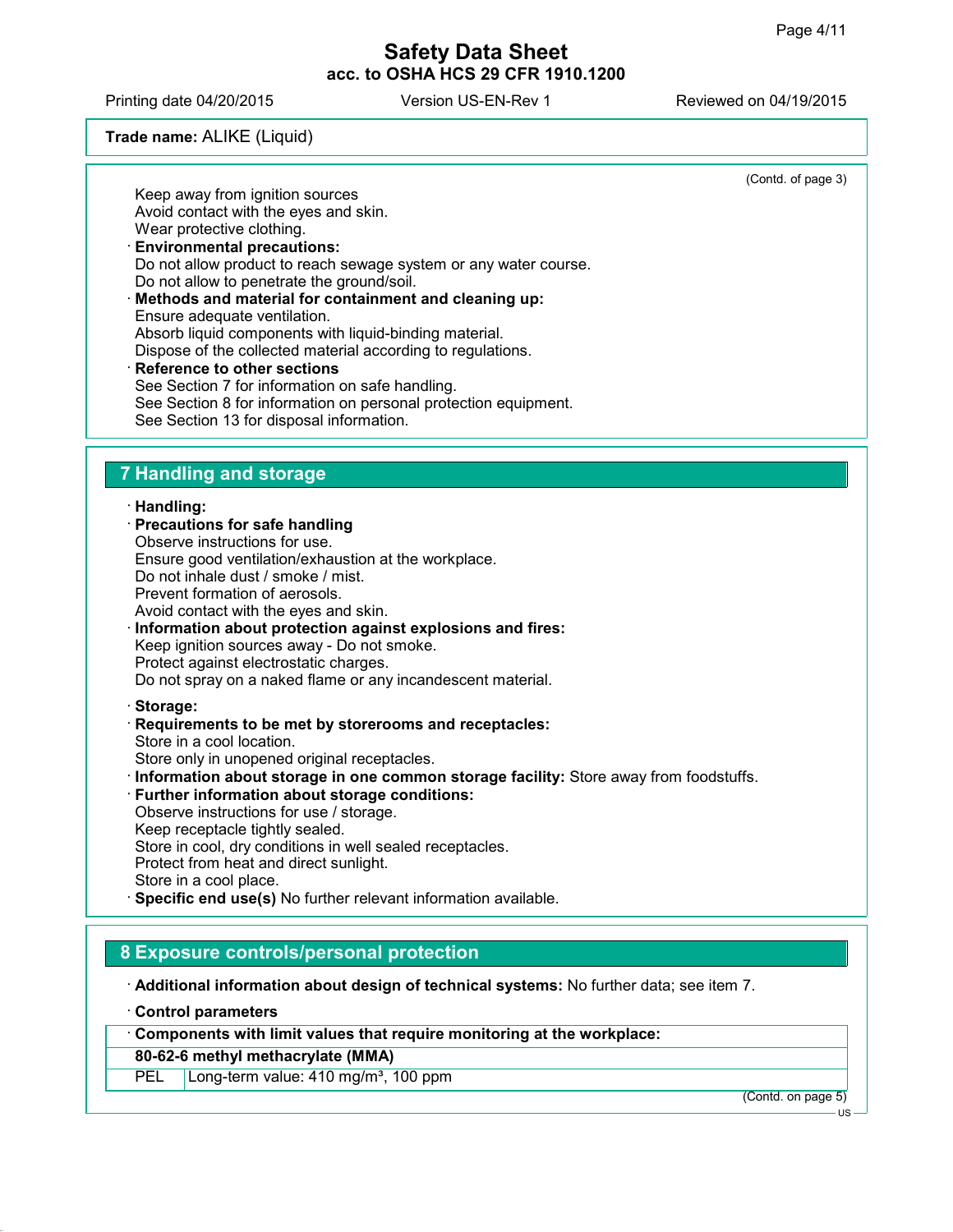Printing date 04/20/2015 Version US-EN-Rev 1 Reviewed on 04/19/2015

## **Trade name:** ALIKE (Liquid)

Keep away from ignition sources

(Contd. of page 3)

| Avoid contact with the eyes and skin.                            |
|------------------------------------------------------------------|
| Wear protective clothing.                                        |
| <b>Environmental precautions:</b>                                |
| Do not allow product to reach sewage system or any water course. |
| Do not allow to penetrate the ground/soil.                       |
| · Methods and material for containment and cleaning up:          |
| Ensure adequate ventilation.                                     |
| Absorb liquid components with liquid-binding material.           |
| Dispose of the collected material according to regulations.      |
| · Reference to other sections                                    |
| See Section 7 for information on safe handling.                  |
| See Section 8 for information on personal protection equipment.  |
| See Section 13 for disposal information.                         |
|                                                                  |

# **7 Handling and storage**

### **Handling:**

| ,,,,,,,,,,,,,,                                                                                                                                                                                                    |
|-------------------------------------------------------------------------------------------------------------------------------------------------------------------------------------------------------------------|
| $\cdot$ Precautions for safe handling                                                                                                                                                                             |
| Observe instructions for use.                                                                                                                                                                                     |
| Ensure good ventilation/exhaustion at the workplace.                                                                                                                                                              |
| Do not inhale dust / smoke / mist.                                                                                                                                                                                |
| Prevent formation of aerosols.                                                                                                                                                                                    |
| Avoid contact with the eyes and skin.                                                                                                                                                                             |
| Information about protection against explosions and fires:<br>Keep ignition sources away - Do not smoke.<br>Protect against electrostatic charges.<br>Do not spray on a naked flame or any incandescent material. |
| · Storage:                                                                                                                                                                                                        |
| Requirements to be met by storerooms and receptacles:<br>Store in a cool location.<br>Store only in unopened original receptacles.                                                                                |
| Information about storage in one common storage facility: Store away from foodstuffs.                                                                                                                             |
| · Further information about storage conditions:                                                                                                                                                                   |
|                                                                                                                                                                                                                   |

Observe instructions for use / storage. Keep receptacle tightly sealed. Store in cool, dry conditions in well sealed receptacles. Protect from heat and direct sunlight. Store in a cool place. **Specific end use(s)** No further relevant information available.

**8 Exposure controls/personal protection**

**Additional information about design of technical systems:** No further data; see item 7.

**Control parameters**

**Components with limit values that require monitoring at the workplace:**

# **80-62-6 methyl methacrylate (MMA)**

PEL Long-term value: 410 mg/m<sup>3</sup>, 100 ppm

(Contd. on page 5)

US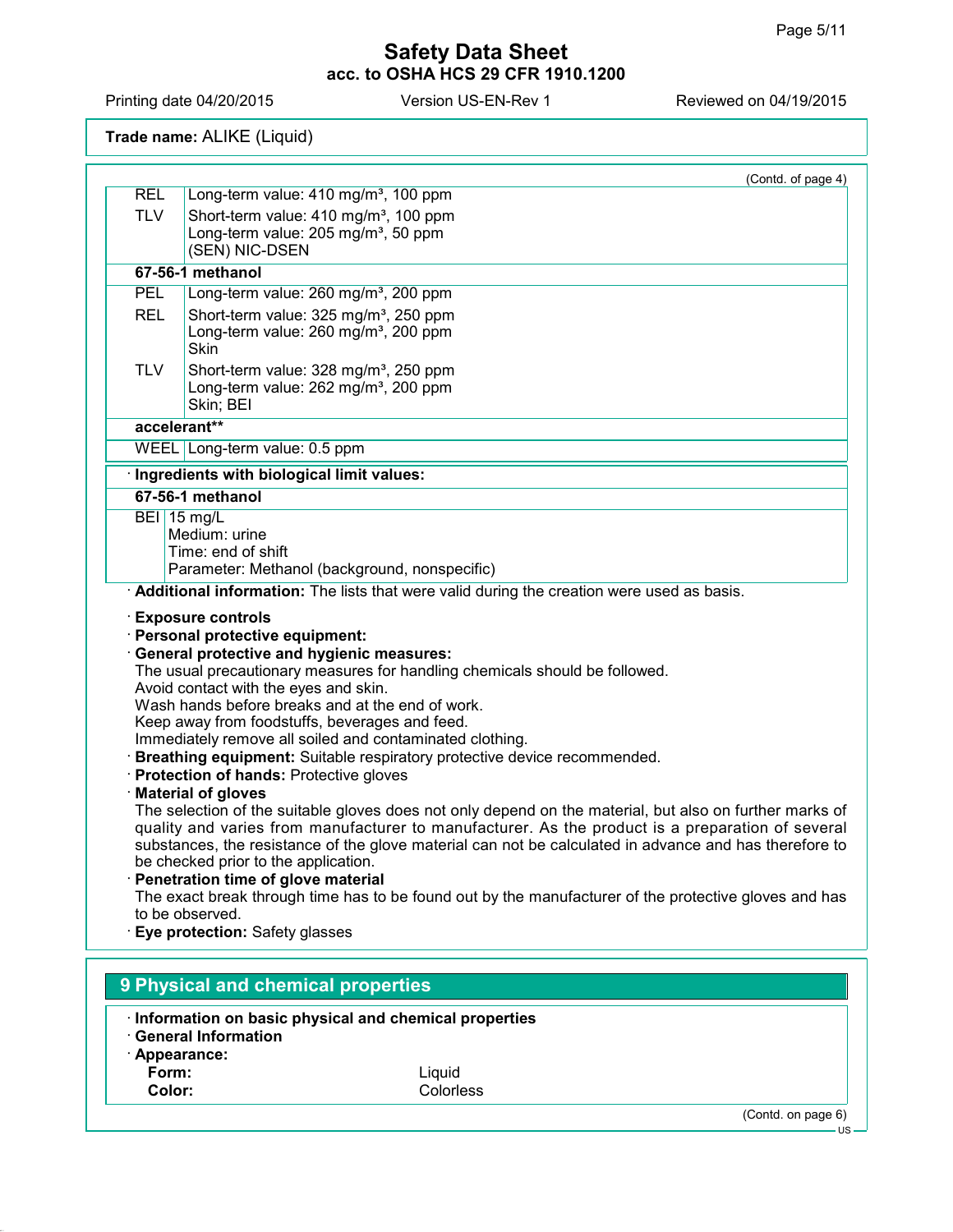Printing date 04/20/2015 Version US-EN-Rev 1 Reviewed on 04/19/2015

**Trade name:** ALIKE (Liquid)

|            | (Contd. of page 4)                                                                                                                                                                                                                                                                                                                                                                                                                                                                                                                                                                                                                                                                                                                                                                                                                                                                                                                                                                                                                                                                                        |
|------------|-----------------------------------------------------------------------------------------------------------------------------------------------------------------------------------------------------------------------------------------------------------------------------------------------------------------------------------------------------------------------------------------------------------------------------------------------------------------------------------------------------------------------------------------------------------------------------------------------------------------------------------------------------------------------------------------------------------------------------------------------------------------------------------------------------------------------------------------------------------------------------------------------------------------------------------------------------------------------------------------------------------------------------------------------------------------------------------------------------------|
| <b>REL</b> | Long-term value: 410 mg/m <sup>3</sup> , 100 ppm                                                                                                                                                                                                                                                                                                                                                                                                                                                                                                                                                                                                                                                                                                                                                                                                                                                                                                                                                                                                                                                          |
| <b>TLV</b> | Short-term value: 410 mg/m <sup>3</sup> , 100 ppm                                                                                                                                                                                                                                                                                                                                                                                                                                                                                                                                                                                                                                                                                                                                                                                                                                                                                                                                                                                                                                                         |
|            | Long-term value: 205 mg/m <sup>3</sup> , 50 ppm<br>(SEN) NIC-DSEN                                                                                                                                                                                                                                                                                                                                                                                                                                                                                                                                                                                                                                                                                                                                                                                                                                                                                                                                                                                                                                         |
|            | 67-56-1 methanol                                                                                                                                                                                                                                                                                                                                                                                                                                                                                                                                                                                                                                                                                                                                                                                                                                                                                                                                                                                                                                                                                          |
| PEL        |                                                                                                                                                                                                                                                                                                                                                                                                                                                                                                                                                                                                                                                                                                                                                                                                                                                                                                                                                                                                                                                                                                           |
|            | Long-term value: 260 mg/m <sup>3</sup> , 200 ppm                                                                                                                                                                                                                                                                                                                                                                                                                                                                                                                                                                                                                                                                                                                                                                                                                                                                                                                                                                                                                                                          |
| <b>REL</b> | Short-term value: 325 mg/m <sup>3</sup> , 250 ppm<br>Long-term value: 260 mg/m <sup>3</sup> , 200 ppm                                                                                                                                                                                                                                                                                                                                                                                                                                                                                                                                                                                                                                                                                                                                                                                                                                                                                                                                                                                                     |
|            | Skin                                                                                                                                                                                                                                                                                                                                                                                                                                                                                                                                                                                                                                                                                                                                                                                                                                                                                                                                                                                                                                                                                                      |
| <b>TLV</b> | Short-term value: 328 mg/m <sup>3</sup> , 250 ppm                                                                                                                                                                                                                                                                                                                                                                                                                                                                                                                                                                                                                                                                                                                                                                                                                                                                                                                                                                                                                                                         |
|            | Long-term value: 262 mg/m <sup>3</sup> , 200 ppm                                                                                                                                                                                                                                                                                                                                                                                                                                                                                                                                                                                                                                                                                                                                                                                                                                                                                                                                                                                                                                                          |
|            | Skin; BEI                                                                                                                                                                                                                                                                                                                                                                                                                                                                                                                                                                                                                                                                                                                                                                                                                                                                                                                                                                                                                                                                                                 |
|            | accelerant**                                                                                                                                                                                                                                                                                                                                                                                                                                                                                                                                                                                                                                                                                                                                                                                                                                                                                                                                                                                                                                                                                              |
|            | WEEL Long-term value: 0.5 ppm                                                                                                                                                                                                                                                                                                                                                                                                                                                                                                                                                                                                                                                                                                                                                                                                                                                                                                                                                                                                                                                                             |
|            | · Ingredients with biological limit values:                                                                                                                                                                                                                                                                                                                                                                                                                                                                                                                                                                                                                                                                                                                                                                                                                                                                                                                                                                                                                                                               |
|            | 67-56-1 methanol                                                                                                                                                                                                                                                                                                                                                                                                                                                                                                                                                                                                                                                                                                                                                                                                                                                                                                                                                                                                                                                                                          |
|            | <b>BEI</b> 15 mg/L                                                                                                                                                                                                                                                                                                                                                                                                                                                                                                                                                                                                                                                                                                                                                                                                                                                                                                                                                                                                                                                                                        |
|            | Medium: urine                                                                                                                                                                                                                                                                                                                                                                                                                                                                                                                                                                                                                                                                                                                                                                                                                                                                                                                                                                                                                                                                                             |
|            | Time: end of shift<br>Parameter: Methanol (background, nonspecific)                                                                                                                                                                                                                                                                                                                                                                                                                                                                                                                                                                                                                                                                                                                                                                                                                                                                                                                                                                                                                                       |
|            | · Additional information: The lists that were valid during the creation were used as basis.                                                                                                                                                                                                                                                                                                                                                                                                                                                                                                                                                                                                                                                                                                                                                                                                                                                                                                                                                                                                               |
|            | · Personal protective equipment:<br><b>General protective and hygienic measures:</b><br>The usual precautionary measures for handling chemicals should be followed.<br>Avoid contact with the eyes and skin.<br>Wash hands before breaks and at the end of work.<br>Keep away from foodstuffs, beverages and feed.<br>Immediately remove all soiled and contaminated clothing.<br>· Breathing equipment: Suitable respiratory protective device recommended.<br>· Protection of hands: Protective gloves<br>· Material of gloves<br>The selection of the suitable gloves does not only depend on the material, but also on further marks of<br>quality and varies from manufacturer to manufacturer. As the product is a preparation of several<br>substances, the resistance of the glove material can not be calculated in advance and has therefore to<br>be checked prior to the application.<br>· Penetration time of glove material<br>The exact break through time has to be found out by the manufacturer of the protective gloves and has<br>to be observed.<br>· Eye protection: Safety glasses |
|            | 9 Physical and chemical properties                                                                                                                                                                                                                                                                                                                                                                                                                                                                                                                                                                                                                                                                                                                                                                                                                                                                                                                                                                                                                                                                        |
|            |                                                                                                                                                                                                                                                                                                                                                                                                                                                                                                                                                                                                                                                                                                                                                                                                                                                                                                                                                                                                                                                                                                           |
|            | Information on basic physical and chemical properties<br><b>General Information</b>                                                                                                                                                                                                                                                                                                                                                                                                                                                                                                                                                                                                                                                                                                                                                                                                                                                                                                                                                                                                                       |

- 
- **Appearance:**

**Form:** Liquid **Color:** Colorless

(Contd. on page 6)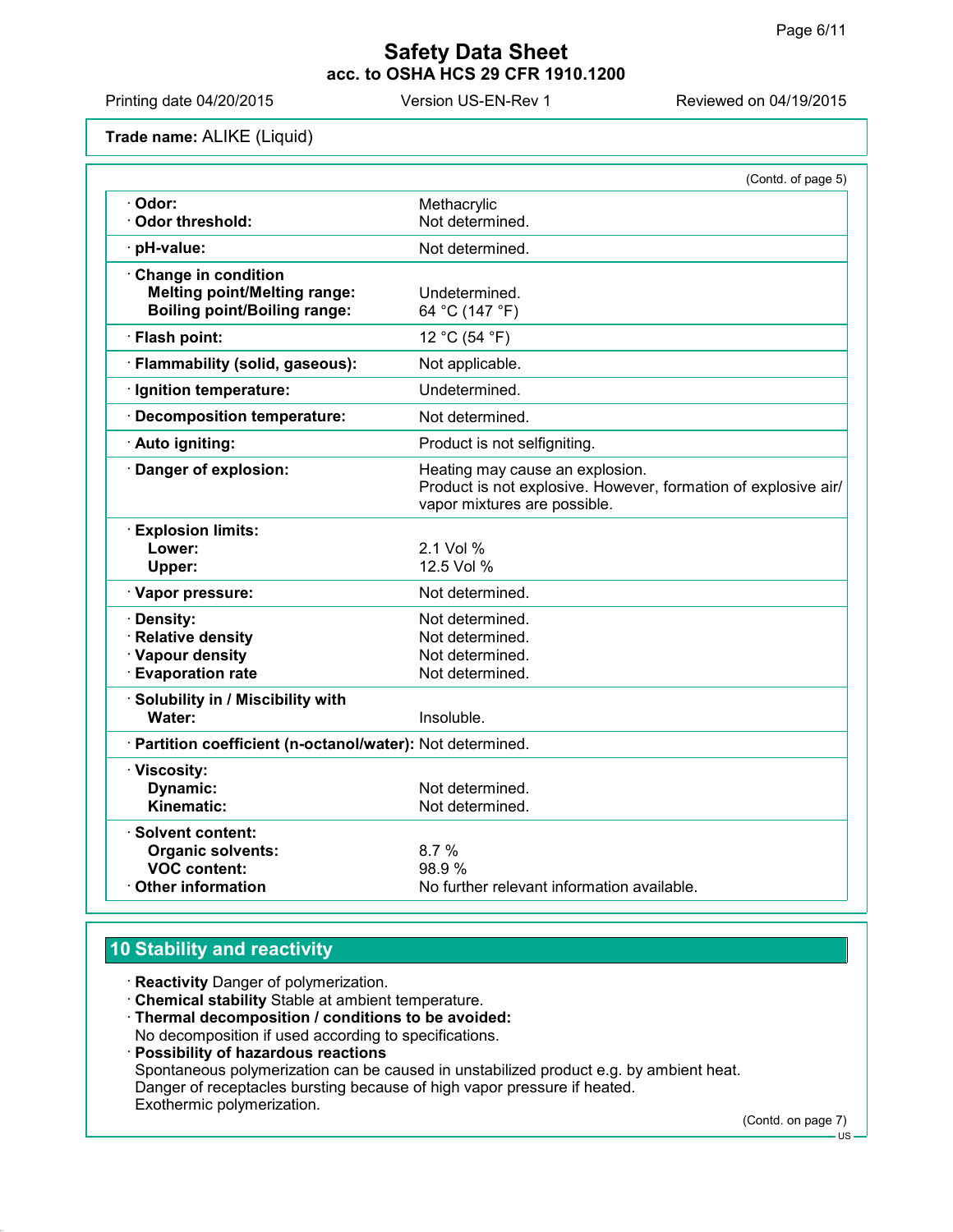Printing date 04/20/2015 Version US-EN-Rev 1 Reviewed on 04/19/2015

**Trade name:** ALIKE (Liquid)

|                                                                                                   | (Contd. of page 5)                                                                                                                |
|---------------------------------------------------------------------------------------------------|-----------------------------------------------------------------------------------------------------------------------------------|
| · Odor:<br>Odor threshold:                                                                        | Methacrylic<br>Not determined.                                                                                                    |
| pH-value:                                                                                         | Not determined.                                                                                                                   |
| Change in condition<br><b>Melting point/Melting range:</b><br><b>Boiling point/Boiling range:</b> | Undetermined.<br>64 °C (147 °F)                                                                                                   |
| · Flash point:                                                                                    | 12 °C (54 °F)                                                                                                                     |
| · Flammability (solid, gaseous):                                                                  | Not applicable.                                                                                                                   |
| · Ignition temperature:                                                                           | Undetermined.                                                                                                                     |
| · Decomposition temperature:                                                                      | Not determined.                                                                                                                   |
| · Auto igniting:                                                                                  | Product is not selfigniting.                                                                                                      |
| Danger of explosion:                                                                              | Heating may cause an explosion.<br>Product is not explosive. However, formation of explosive air/<br>vapor mixtures are possible. |
| <b>Explosion limits:</b><br>Lower:<br>Upper:                                                      | 2.1 Vol %<br>12.5 Vol %                                                                                                           |
| · Vapor pressure:                                                                                 | Not determined.                                                                                                                   |
| · Density:<br>· Relative density<br>· Vapour density<br><b>Evaporation rate</b>                   | Not determined.<br>Not determined.<br>Not determined.<br>Not determined.                                                          |
| · Solubility in / Miscibility with<br>Water:                                                      | Insoluble.                                                                                                                        |
| · Partition coefficient (n-octanol/water): Not determined.                                        |                                                                                                                                   |
| · Viscosity:<br>Dynamic:<br>Kinematic:                                                            | Not determined.<br>Not determined.                                                                                                |
| · Solvent content:<br><b>Organic solvents:</b><br><b>VOC content:</b><br>Other information        | 8.7%<br>98.9%<br>No further relevant information available.                                                                       |

# **10 Stability and reactivity**

**Reactivity** Danger of polymerization.

- **Chemical stability** Stable at ambient temperature.
- **Thermal decomposition / conditions to be avoided:**

No decomposition if used according to specifications.

 **Possibility of hazardous reactions** Spontaneous polymerization can be caused in unstabilized product e.g. by ambient heat. Danger of receptacles bursting because of high vapor pressure if heated. Exothermic polymerization.

(Contd. on page 7)

<sup>-</sup> US -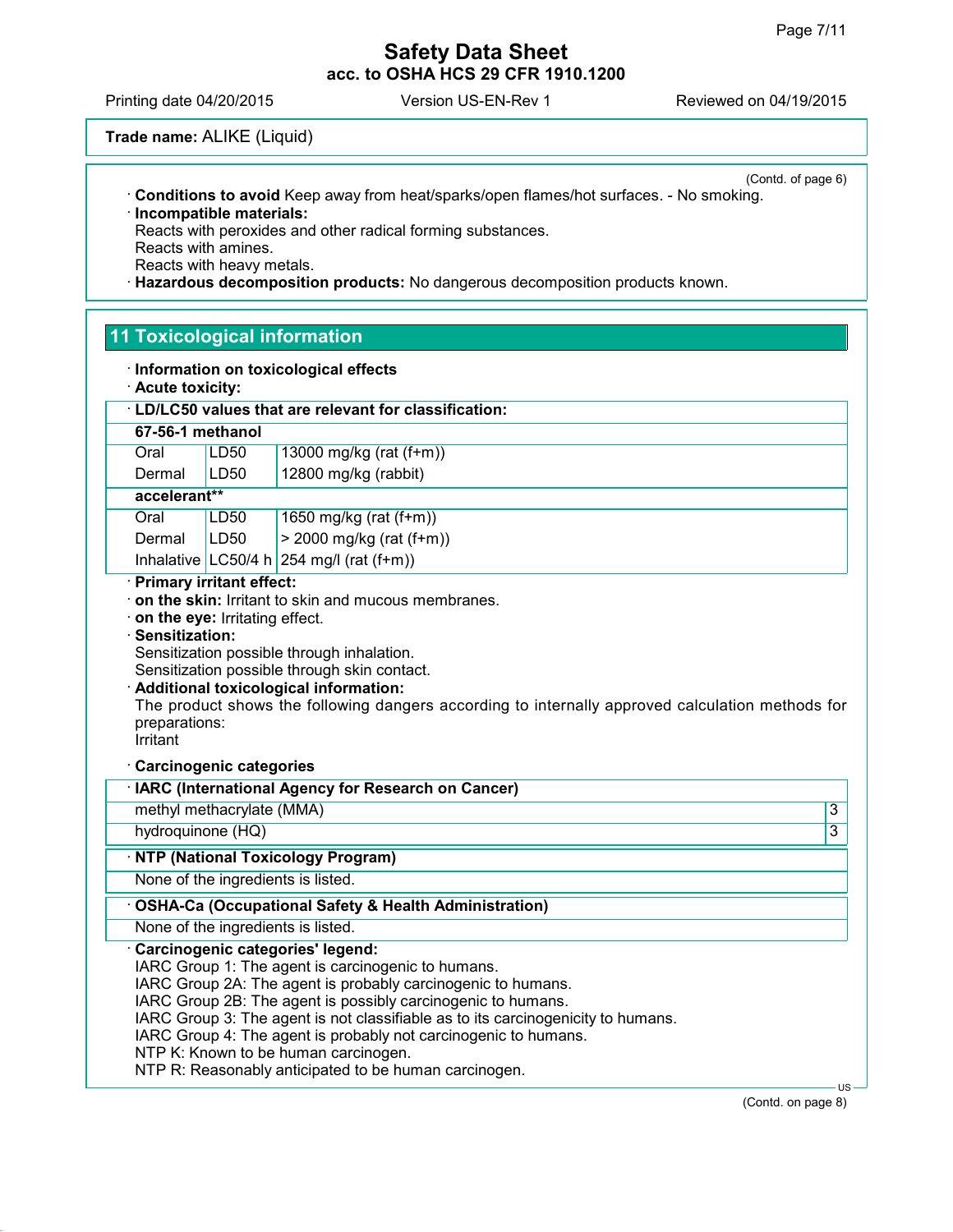Printing date 04/20/2015 Version US-EN-Rev 1 Reviewed on 04/19/2015

**Trade name:** ALIKE (Liquid)

(Contd. of page 6) **Conditions to avoid** Keep away from heat/sparks/open flames/hot surfaces. - No smoking. **Incompatible materials:**

Reacts with peroxides and other radical forming substances. Reacts with amines. Reacts with heavy metals.

**Hazardous decomposition products:** No dangerous decomposition products known.

# **11 Toxicological information**

|  |  |  | · Information on toxicological effects |  |
|--|--|--|----------------------------------------|--|
|--|--|--|----------------------------------------|--|

**Acute toxicity:**

| 67-56-1 methanol                                                              |             | · LD/LC50 values that are relevant for classification:                                                                                                                                                                                                                                         |                |
|-------------------------------------------------------------------------------|-------------|------------------------------------------------------------------------------------------------------------------------------------------------------------------------------------------------------------------------------------------------------------------------------------------------|----------------|
|                                                                               |             |                                                                                                                                                                                                                                                                                                |                |
| Oral                                                                          | <b>LD50</b> | 13000 mg/kg (rat (f+m))                                                                                                                                                                                                                                                                        |                |
| Dermal                                                                        | LD50        | 12800 mg/kg (rabbit)                                                                                                                                                                                                                                                                           |                |
| accelerant**                                                                  |             |                                                                                                                                                                                                                                                                                                |                |
| Oral                                                                          | LD50        | 1650 mg/kg (rat (f+m))                                                                                                                                                                                                                                                                         |                |
| Dermal                                                                        | LD50        | $> 2000$ mg/kg (rat (f+m))                                                                                                                                                                                                                                                                     |                |
|                                                                               |             | Inhalative $ $ LC50/4 h $ 254 \text{ mg/l}$ (rat (f+m))                                                                                                                                                                                                                                        |                |
| on the eye: Irritating effect.<br>Sensitization:<br>preparations:<br>Irritant |             | on the skin: Irritant to skin and mucous membranes.<br>Sensitization possible through inhalation.<br>Sensitization possible through skin contact.<br>Additional toxicological information:<br>The product shows the following dangers according to internally approved calculation methods for |                |
|                                                                               |             |                                                                                                                                                                                                                                                                                                |                |
| <b>Carcinogenic categories</b>                                                |             | IARC (International Agency for Research on Cancer)                                                                                                                                                                                                                                             |                |
| methyl methacrylate (MMA)                                                     |             |                                                                                                                                                                                                                                                                                                | $\overline{3}$ |
| hydroquinone (HQ)                                                             |             |                                                                                                                                                                                                                                                                                                | $\overline{3}$ |
|                                                                               |             |                                                                                                                                                                                                                                                                                                |                |
|                                                                               |             | <b>NTP (National Toxicology Program)</b><br>None of the ingredients is listed.                                                                                                                                                                                                                 |                |
|                                                                               |             | <b>OSHA-Ca (Occupational Safety &amp; Health Administration)</b>                                                                                                                                                                                                                               |                |
|                                                                               |             | None of the ingredients is listed.<br>Carcinogenic categories' legend:                                                                                                                                                                                                                         |                |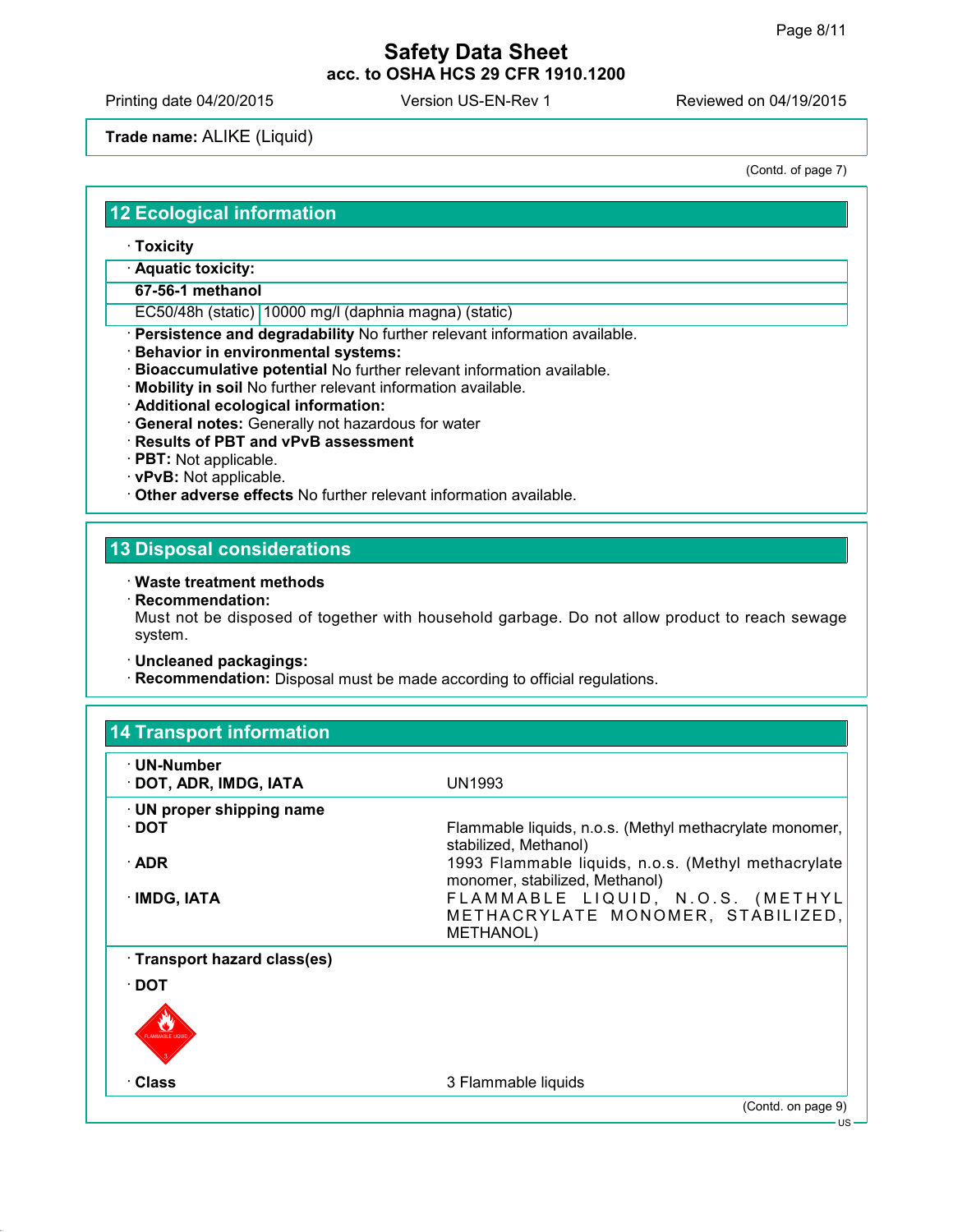Printing date 04/20/2015 Version US-EN-Rev 1 Reviewed on 04/19/2015

## **Trade name:** ALIKE (Liquid)

(Contd. of page 7)

#### **12 Ecological information**

**Toxicity**

**Aquatic toxicity:**

**67-56-1 methanol**

EC50/48h (static) 10000 mg/l (daphnia magna) (static)

**Persistence and degradability** No further relevant information available.

- **Behavior in environmental systems:**
- **Bioaccumulative potential** No further relevant information available.
- **Mobility in soil** No further relevant information available.
- **Additional ecological information:**
- **General notes:** Generally not hazardous for water
- **Results of PBT and vPvB assessment**
- **PBT:** Not applicable.
- **vPvB:** Not applicable.
- **Other adverse effects** No further relevant information available.

# **13 Disposal considerations**

#### **Waste treatment methods**

**Recommendation:**

Must not be disposed of together with household garbage. Do not allow product to reach sewage system.

#### **Uncleaned packagings:**

**Recommendation:** Disposal must be made according to official regulations.

| $\cdot$ UN-Number               |                                                                                           |
|---------------------------------|-------------------------------------------------------------------------------------------|
| · DOT, ADR, IMDG, IATA          | UN1993                                                                                    |
| $\cdot$ UN proper shipping name |                                                                                           |
| ∙ DOT                           | Flammable liquids, n.o.s. (Methyl methacrylate monomer,<br>stabilized, Methanol)          |
| $\cdot$ ADR                     | 1993 Flammable liquids, n.o.s. (Methyl methacrylate<br>monomer, stabilized, Methanol)     |
| · IMDG, IATA                    | FLAMMABLE LIQUID, N.O.S. (METHYL<br>METHACRYLATE MONOMER, STABILIZED,<br><b>METHANOL)</b> |
| · Transport hazard class(es)    |                                                                                           |
| ∙ DOT                           |                                                                                           |
|                                 |                                                                                           |
| · Class                         | 3 Flammable liquids                                                                       |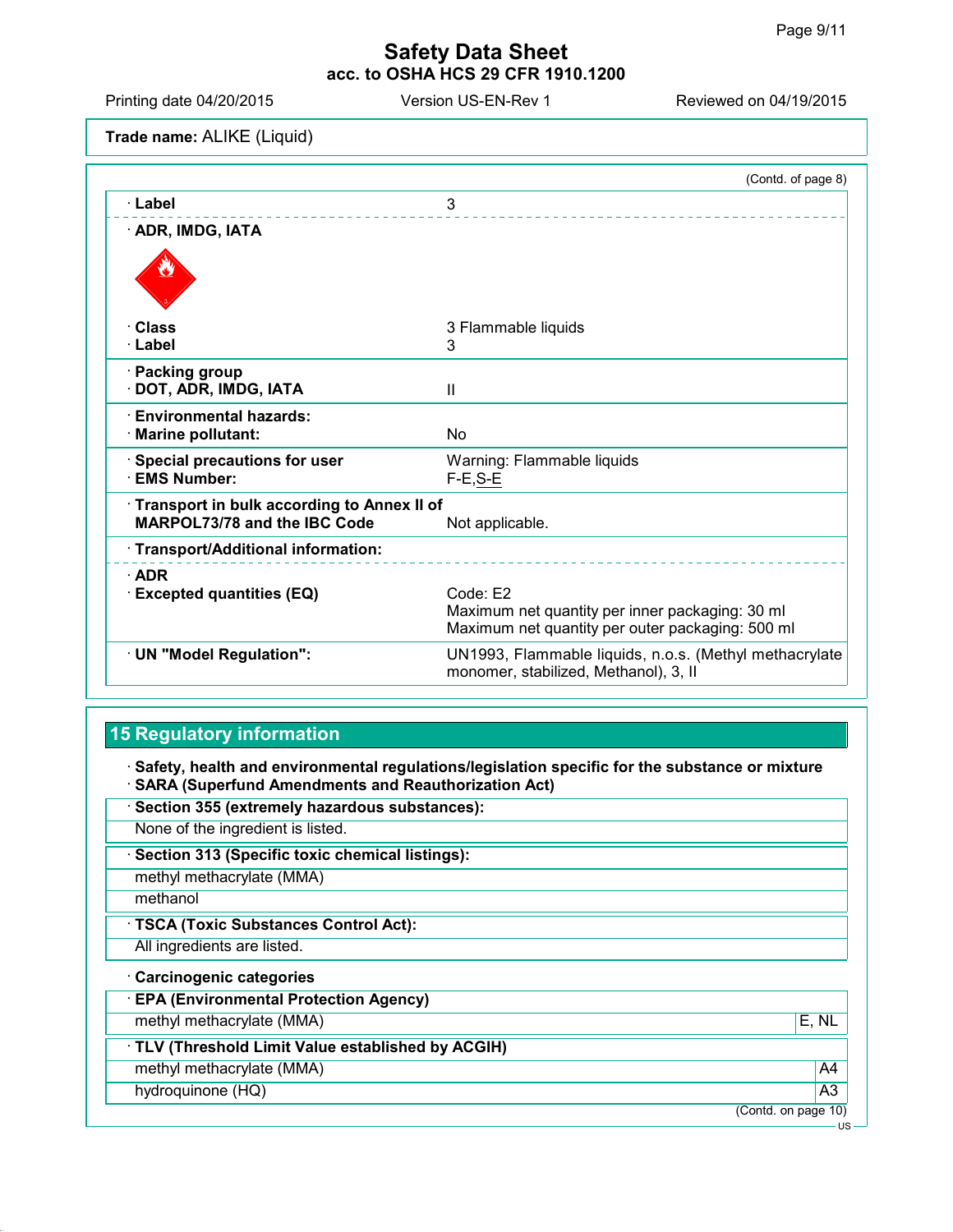Printing date 04/20/2015 Version US-EN-Rev 1 Reviewed on 04/19/2015

**Trade name:** ALIKE (Liquid)

|                                                                            | (Contd. of page 8)                                                                                              |
|----------------------------------------------------------------------------|-----------------------------------------------------------------------------------------------------------------|
| · Label                                                                    | 3                                                                                                               |
| · ADR, IMDG, IATA                                                          |                                                                                                                 |
|                                                                            |                                                                                                                 |
| · Class                                                                    | 3 Flammable liquids                                                                                             |
| · Label                                                                    | 3                                                                                                               |
| · Packing group<br>DOT, ADR, IMDG, IATA                                    | $\mathbf{I}$                                                                                                    |
| $\cdot$ Environmental hazards:<br>· Marine pollutant:                      | N <sub>0</sub>                                                                                                  |
| · Special precautions for user<br>· EMS Number:                            | Warning: Flammable liquids<br>$F-E, S-E$                                                                        |
| Transport in bulk according to Annex II of<br>MARPOL73/78 and the IBC Code | Not applicable.                                                                                                 |
| · Transport/Additional information:                                        |                                                                                                                 |
| $\cdot$ ADR                                                                |                                                                                                                 |
| <b>Excepted quantities (EQ)</b>                                            | Code: E2<br>Maximum net quantity per inner packaging: 30 ml<br>Maximum net quantity per outer packaging: 500 ml |
| · UN "Model Regulation":                                                   | UN1993, Flammable liquids, n.o.s. (Methyl methacrylate<br>monomer, stabilized, Methanol), 3, II                 |

# **15 Regulatory information**

 **Safety, health and environmental regulations/legislation specific for the substance or mixture SARA (Superfund Amendments and Reauthorization Act)**

| · Section 355 (extremely hazardous substances):   |                     |
|---------------------------------------------------|---------------------|
| None of the ingredient is listed.                 |                     |
| · Section 313 (Specific toxic chemical listings): |                     |
| methyl methacrylate (MMA)                         |                     |
| methanol                                          |                     |
| · TSCA (Toxic Substances Control Act):            |                     |
| All ingredients are listed.                       |                     |
| · Carcinogenic categories                         |                     |
| <b>EPA (Environmental Protection Agency)</b>      |                     |
| methyl methacrylate (MMA)                         | E, NL               |
| TLV (Threshold Limit Value established by ACGIH)  |                     |
| methyl methacrylate (MMA)                         | A <sub>4</sub>      |
| hydroquinone (HQ)                                 | A <sub>3</sub>      |
|                                                   | (Contd. on page 10) |
|                                                   | US-                 |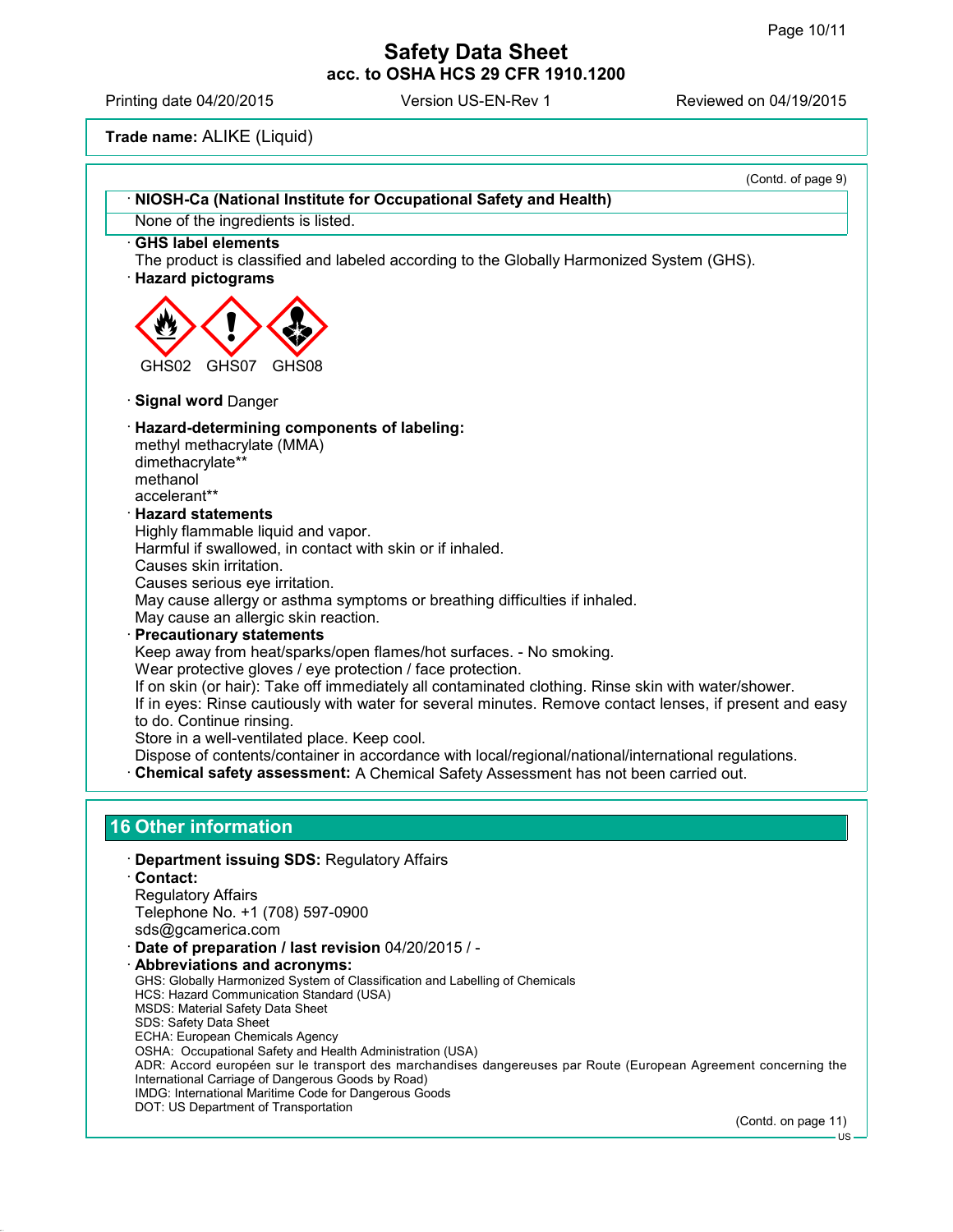Printing date 04/20/2015 Version US-EN-Rev 1 Reviewed on 04/19/2015

**Trade name:** ALIKE (Liquid)

| (Contd. of page 9)                                                                                                                                                                        |  |
|-------------------------------------------------------------------------------------------------------------------------------------------------------------------------------------------|--|
| · NIOSH-Ca (National Institute for Occupational Safety and Health)                                                                                                                        |  |
| None of the ingredients is listed.                                                                                                                                                        |  |
| <b>GHS label elements</b><br>The product is classified and labeled according to the Globally Harmonized System (GHS).<br><b>Hazard pictograms</b>                                         |  |
|                                                                                                                                                                                           |  |
| GHS07<br>GHS02<br>GHS08                                                                                                                                                                   |  |
| <b>Signal word Danger</b>                                                                                                                                                                 |  |
| Hazard-determining components of labeling:                                                                                                                                                |  |
| methyl methacrylate (MMA)                                                                                                                                                                 |  |
| dimethacrylate**                                                                                                                                                                          |  |
| methanol<br>accelerant**                                                                                                                                                                  |  |
| <b>Hazard statements</b>                                                                                                                                                                  |  |
| Highly flammable liquid and vapor.                                                                                                                                                        |  |
| Harmful if swallowed, in contact with skin or if inhaled.                                                                                                                                 |  |
| Causes skin irritation.                                                                                                                                                                   |  |
| Causes serious eye irritation.                                                                                                                                                            |  |
| May cause allergy or asthma symptoms or breathing difficulties if inhaled.                                                                                                                |  |
| May cause an allergic skin reaction.                                                                                                                                                      |  |
| <b>Precautionary statements</b>                                                                                                                                                           |  |
| Keep away from heat/sparks/open flames/hot surfaces. - No smoking.                                                                                                                        |  |
| Wear protective gloves / eye protection / face protection.<br>If on skin (or hair): Take off immediately all contaminated clothing. Rinse skin with water/shower.                         |  |
| If in eyes: Rinse cautiously with water for several minutes. Remove contact lenses, if present and easy<br>to do. Continue rinsing.                                                       |  |
| Store in a well-ventilated place. Keep cool.                                                                                                                                              |  |
| Dispose of contents/container in accordance with local/regional/national/international regulations.<br>Chemical safety assessment: A Chemical Safety Assessment has not been carried out. |  |
|                                                                                                                                                                                           |  |
| <b>16 Other information</b>                                                                                                                                                               |  |
| <b>Department issuing SDS: Regulatory Affairs</b>                                                                                                                                         |  |
| · Contact:                                                                                                                                                                                |  |
| <b>Regulatory Affairs</b><br>Telephone No. +1 (708) 597-0900                                                                                                                              |  |
| sds@gcamerica.com                                                                                                                                                                         |  |
| Date of preparation / last revision 04/20/2015 / -                                                                                                                                        |  |
| <b>Abbreviations and acronyms:</b>                                                                                                                                                        |  |
| GHS: Globally Harmonized System of Classification and Labelling of Chemicals                                                                                                              |  |
| HCS: Hazard Communication Standard (USA)<br>MSDS: Material Safety Data Sheet<br>SDS: Safety Data Sheet                                                                                    |  |

- ECHA: European Chemicals Agency
- OSHA: Occupational Safety and Health Administration (USA)
- ADR: Accord européen sur le transport des marchandises dangereuses par Route (European Agreement concerning the International Carriage of Dangerous Goods by Road) IMDG: International Maritime Code for Dangerous Goods
- DOT: US Department of Transportation

(Contd. on page 11)

US